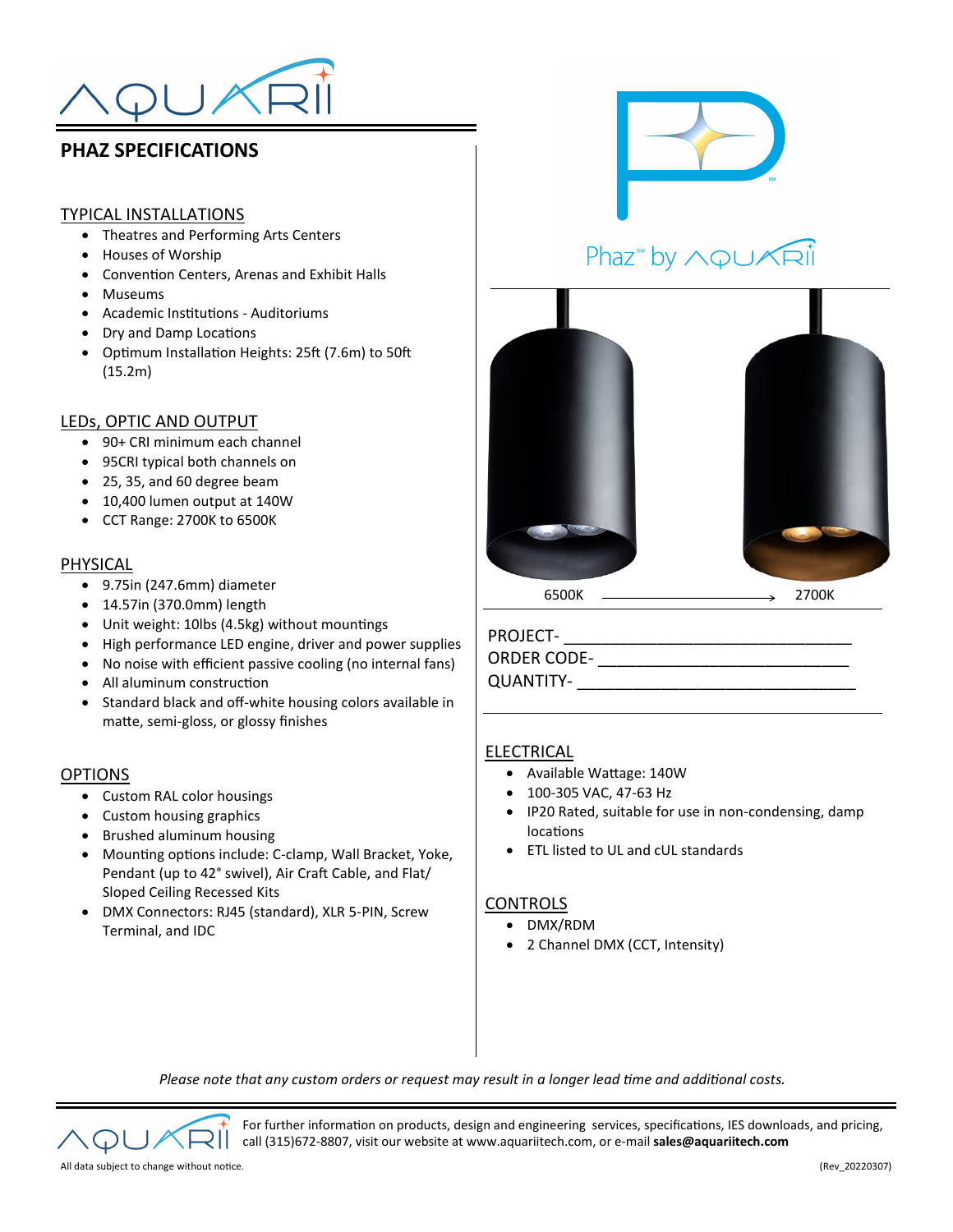

## **PHAZ SPECIFICATIONS**

### TYPICAL INSTALLATIONS

- Theatres and Performing Arts Centers
- Houses of Worship
- Convention Centers, Arenas and Exhibit Halls
- Museums
- Academic Institutions Auditoriums
- Dry and Damp Locations
- Optimum Installation Heights: 25ft (7.6m) to 50ft (15.2m)

### LEDs, OPTIC AND OUTPUT

- 90+ CRI minimum each channel
- 95CRI typical both channels on
- 25, 35, and 60 degree beam
- 10,400 lumen output at 140W
- CCT Range: 2700K to 6500K

### PHYSICAL

- 9.75in (247.6mm) diameter
- 14.57in (370.0mm) length
- Unit weight: 10lbs (4.5kg) without mountings
- High performance LED engine, driver and power supplies
- No noise with efficient passive cooling (no internal fans)
- All aluminum construction
- Standard black and off-white housing colors available in matte, semi-gloss, or glossy finishes

#### OPTIONS

- Custom RAL color housings
- Custom housing graphics
- Brushed aluminum housing
- Mounting options include: C-clamp, Wall Bracket, Yoke, Pendant (up to 42° swivel), Air Craft Cable, and Flat/ Sloped Ceiling Recessed Kits
- DMX Connectors: RJ45 (standard), XLR 5-PIN, Screw Terminal, and IDC



# Phaz<sup>\*</sup> by AQUARI



### PROJECT- \_\_\_\_\_\_\_\_\_\_\_\_\_\_\_\_\_\_\_\_\_\_\_\_\_\_\_\_\_\_\_

ORDER CODE- \_\_\_\_\_\_\_\_\_\_\_\_\_\_\_\_\_\_\_\_\_\_\_\_\_\_\_

QUANTITY-

### ELECTRICAL

- Available Wattage: 140W
- 100-305 VAC, 47-63 Hz
- IP20 Rated, suitable for use in non-condensing, damp locations
- ETL listed to UL and cUL standards

### **CONTROLS**

- DMX/RDM
- 2 Channel DMX (CCT, Intensity)

*Please note that any custom orders or request may result in a longer lead time and additional costs.*

For further information on products, design and engineering services, specifications, IES downloads, and pricing, call (315)672-8807, visit our website at www.aquariitech.com, or e-mail **sales@aquariitech.com**

All data subject to change without notice. (Rev\_20220307)